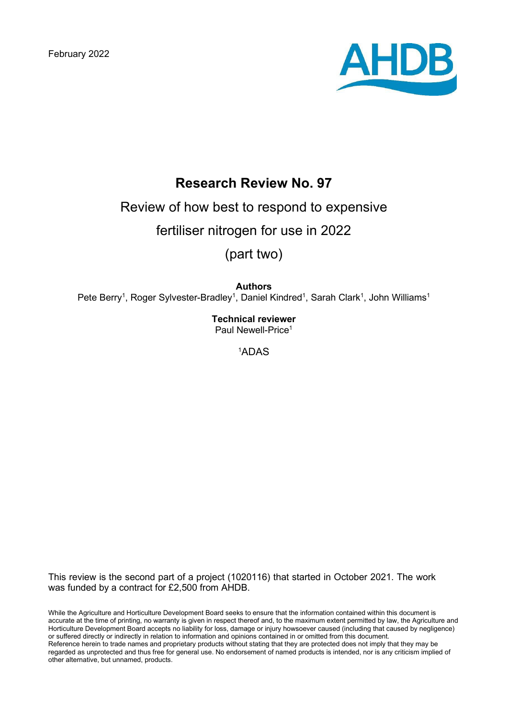February 2022



# **Research Review No. 97**

# Review of how best to respond to expensive

fertiliser nitrogen for use in 2022

(part two)

**Authors**

Pete Berry<sup>1</sup>, Roger Sylvester-Bradley<sup>1</sup>, Daniel Kindred<sup>1</sup>, Sarah Clark<sup>1</sup>, John Williams<sup>1</sup>

**Technical reviewer**  Paul Newell-Price<sup>1</sup>

1 ADAS

This review is the second part of a project (1020116) that started in October 2021. The work was funded by a contract for £2,500 from AHDB.

While the Agriculture and Horticulture Development Board seeks to ensure that the information contained within this document is accurate at the time of printing, no warranty is given in respect thereof and, to the maximum extent permitted by law, the Agriculture and Horticulture Development Board accepts no liability for loss, damage or injury howsoever caused (including that caused by negligence) or suffered directly or indirectly in relation to information and opinions contained in or omitted from this document. Reference herein to trade names and proprietary products without stating that they are protected does not imply that they may be regarded as unprotected and thus free for general use. No endorsement of named products is intended, nor is any criticism implied of other alternative, but unnamed, products.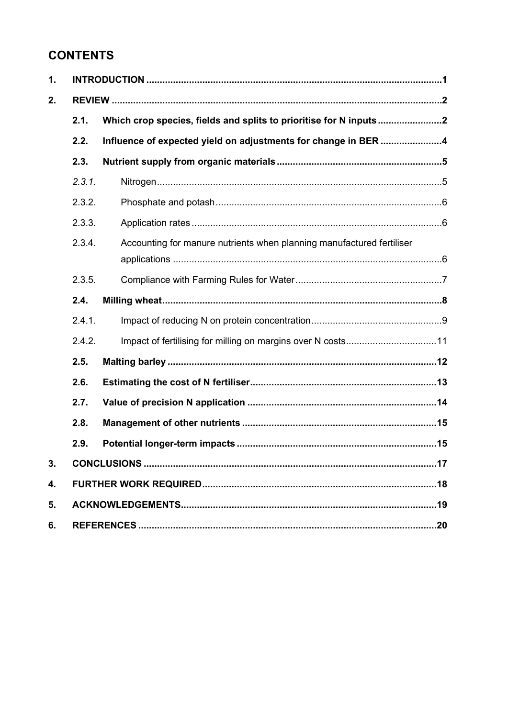# **CONTENTS**

| 1. |        |                                                                       |  |  |
|----|--------|-----------------------------------------------------------------------|--|--|
| 2. |        |                                                                       |  |  |
|    | 2.1.   |                                                                       |  |  |
|    | 2.2.   | Influence of expected yield on adjustments for change in BER 4        |  |  |
|    | 2.3.   |                                                                       |  |  |
|    | 2.3.1. |                                                                       |  |  |
|    | 2.3.2. |                                                                       |  |  |
|    | 2.3.3. |                                                                       |  |  |
|    | 2.3.4. | Accounting for manure nutrients when planning manufactured fertiliser |  |  |
|    | 2.3.5. |                                                                       |  |  |
|    | 2.4.   |                                                                       |  |  |
|    | 2.4.1. |                                                                       |  |  |
|    | 2.4.2. |                                                                       |  |  |
|    | 2.5.   |                                                                       |  |  |
|    | 2.6.   |                                                                       |  |  |
|    | 2.7.   |                                                                       |  |  |
|    | 2.8.   |                                                                       |  |  |
|    | 2.9.   |                                                                       |  |  |
| 3. |        |                                                                       |  |  |
| 4. |        |                                                                       |  |  |
| 5. |        |                                                                       |  |  |
| 6. |        |                                                                       |  |  |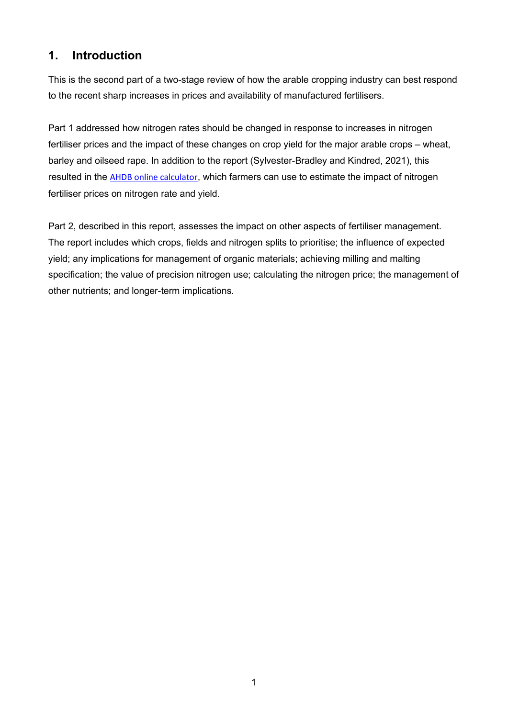# **1. Introduction**

This is the second part of a two-stage review of how the arable cropping industry can best respond to the recent sharp increases in prices and availability of manufactured fertilisers.

Part 1 addressed how nitrogen rates should be changed in response to increases in nitrogen fertiliser prices and the impact of these changes on crop yield for the major arable crops – wheat, barley and oilseed rape. In addition to the report (Sylvester-Bradley and Kindred, 2021), this resulted in the **AHDB** online calculator, which farmers can use to estimate the impact of nitrogen fertiliser prices on nitrogen rate and yield.

Part 2, described in this report, assesses the impact on other aspects of fertiliser management. The report includes which crops, fields and nitrogen splits to prioritise; the influence of expected yield; any implications for management of organic materials; achieving milling and malting specification; the value of precision nitrogen use; calculating the nitrogen price; the management of other nutrients; and longer-term implications.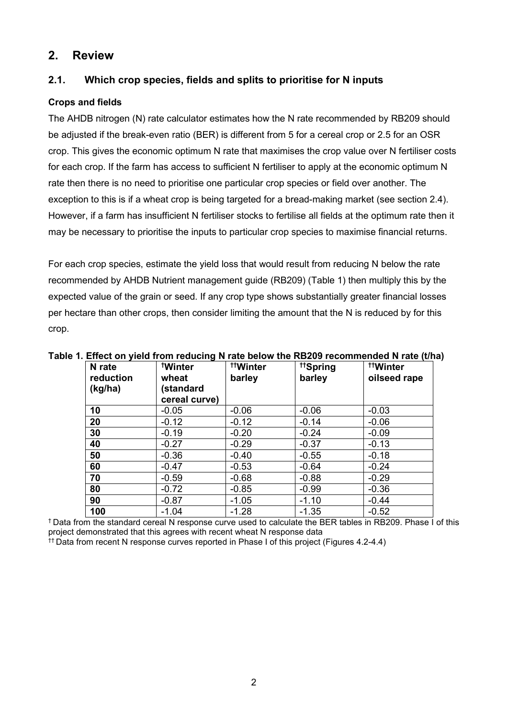### **2. Review**

### **2.1. Which crop species, fields and splits to prioritise for N inputs**

### **Crops and fields**

The AHDB nitrogen (N) rate calculator estimates how the N rate recommended by RB209 should be adjusted if the break-even ratio (BER) is different from 5 for a cereal crop or 2.5 for an OSR crop. This gives the economic optimum N rate that maximises the crop value over N fertiliser costs for each crop. If the farm has access to sufficient N fertiliser to apply at the economic optimum N rate then there is no need to prioritise one particular crop species or field over another. The exception to this is if a wheat crop is being targeted for a bread-making market (see section 2.4). However, if a farm has insufficient N fertiliser stocks to fertilise all fields at the optimum rate then it may be necessary to prioritise the inputs to particular crop species to maximise financial returns.

For each crop species, estimate the yield loss that would result from reducing N below the rate recommended by AHDB Nutrient management guide (RB209) (Table 1) then multiply this by the expected value of the grain or seed. If any crop type shows substantially greater financial losses per hectare than other crops, then consider limiting the amount that the N is reduced by for this crop.

| N rate<br>reduction<br>(kg/ha) | <b>Winter</b><br>wheat<br>(standard<br>cereal curve) | <sup>tt</sup> Winter<br>barley | <sup>tt</sup> Spring<br>barley | <sup>tt</sup> Winter<br>oilseed rape |
|--------------------------------|------------------------------------------------------|--------------------------------|--------------------------------|--------------------------------------|
| 10                             | $-0.05$                                              | $-0.06$                        | $-0.06$                        | $-0.03$                              |
| 20                             | $-0.12$                                              | $-0.12$                        | $-0.14$                        | $-0.06$                              |
| 30                             | $-0.19$                                              | $-0.20$                        | $-0.24$                        | $-0.09$                              |
| 40                             | $-0.27$                                              | $-0.29$                        | $-0.37$                        | $-0.13$                              |
| 50                             | $-0.36$                                              | $-0.40$                        | $-0.55$                        | $-0.18$                              |
| 60                             | $-0.47$                                              | $-0.53$                        | $-0.64$                        | $-0.24$                              |
| 70                             | $-0.59$                                              | $-0.68$                        | $-0.88$                        | $-0.29$                              |
| 80                             | $-0.72$                                              | $-0.85$                        | $-0.99$                        | $-0.36$                              |
| 90                             | $-0.87$                                              | $-1.05$                        | $-1.10$                        | $-0.44$                              |
| 100                            | $-1.04$                                              | $-1.28$                        | $-1.35$                        | $-0.52$                              |

**Table 1. Effect on yield from reducing N rate below the RB209 recommended N rate (t/ha)**

† Data from the standard cereal N response curve used to calculate the BER tables in RB209. Phase I of this project demonstrated that this agrees with recent wheat N response data †† Data from recent N response curves reported in Phase I of this project (Figures 4.2-4.4)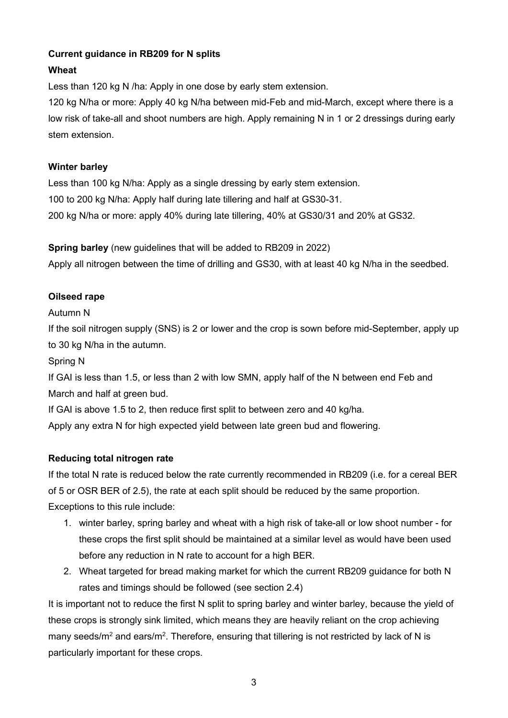### **Current guidance in RB209 for N splits**

### **Wheat**

Less than 120 kg N /ha: Apply in one dose by early stem extension.

120 kg N/ha or more: Apply 40 kg N/ha between mid-Feb and mid-March, except where there is a low risk of take-all and shoot numbers are high. Apply remaining N in 1 or 2 dressings during early stem extension.

### **Winter barley**

Less than 100 kg N/ha: Apply as a single dressing by early stem extension. 100 to 200 kg N/ha: Apply half during late tillering and half at GS30-31. 200 kg N/ha or more: apply 40% during late tillering, 40% at GS30/31 and 20% at GS32.

**Spring barley** (new guidelines that will be added to RB209 in 2022) Apply all nitrogen between the time of drilling and GS30, with at least 40 kg N/ha in the seedbed.

### **Oilseed rape**

### Autumn N

If the soil nitrogen supply (SNS) is 2 or lower and the crop is sown before mid-September, apply up to 30 kg N/ha in the autumn.

Spring N

If GAI is less than 1.5, or less than 2 with low SMN, apply half of the N between end Feb and March and half at green bud.

If GAI is above 1.5 to 2, then reduce first split to between zero and 40 kg/ha.

Apply any extra N for high expected yield between late green bud and flowering.

### **Reducing total nitrogen rate**

If the total N rate is reduced below the rate currently recommended in RB209 (i.e. for a cereal BER of 5 or OSR BER of 2.5), the rate at each split should be reduced by the same proportion. Exceptions to this rule include:

- 1. winter barley, spring barley and wheat with a high risk of take-all or low shoot number for these crops the first split should be maintained at a similar level as would have been used before any reduction in N rate to account for a high BER.
- 2. Wheat targeted for bread making market for which the current RB209 guidance for both N rates and timings should be followed (see section 2.4)

It is important not to reduce the first N split to spring barley and winter barley, because the yield of these crops is strongly sink limited, which means they are heavily reliant on the crop achieving many seeds/m<sup>2</sup> and ears/m<sup>2</sup>. Therefore, ensuring that tillering is not restricted by lack of N is particularly important for these crops.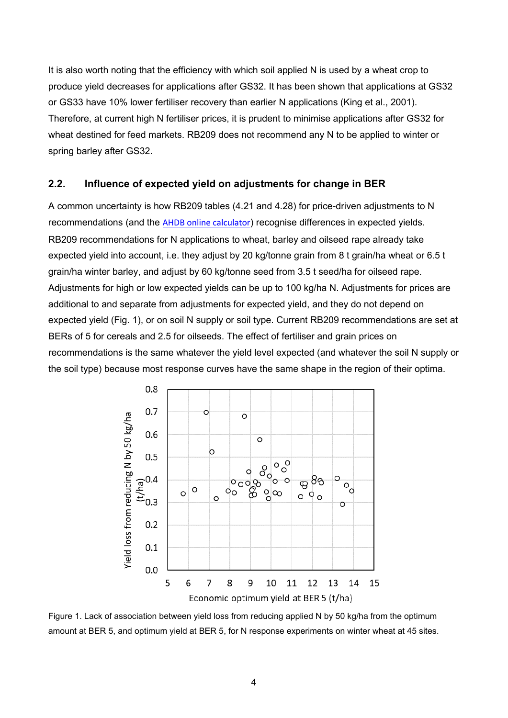It is also worth noting that the efficiency with which soil applied N is used by a wheat crop to produce yield decreases for applications after GS32. It has been shown that applications at GS32 or GS33 have 10% lower fertiliser recovery than earlier N applications (King et al., 2001). Therefore, at current high N fertiliser prices, it is prudent to minimise applications after GS32 for wheat destined for feed markets. RB209 does not recommend any N to be applied to winter or spring barley after GS32.

#### **2.2. Influence of expected yield on adjustments for change in BER**

A common uncertainty is how RB209 tables (4.21 and 4.28) for price-driven adjustments to N recommendations (and the [AHDB online calculator](https://ahdb.org.uk/knowledge-library/nitrogen-fertiliser-adjustment-calculator-for-cereals-and-oilseeds)) recognise differences in expected yields. RB209 recommendations for N applications to wheat, barley and oilseed rape already take expected yield into account, i.e. they adjust by 20 kg/tonne grain from 8 t grain/ha wheat or 6.5 t grain/ha winter barley, and adjust by 60 kg/tonne seed from 3.5 t seed/ha for oilseed rape. Adjustments for high or low expected yields can be up to 100 kg/ha N. Adjustments for prices are additional to and separate from adjustments for expected yield, and they do not depend on expected yield (Fig. 1), or on soil N supply or soil type. Current RB209 recommendations are set at BERs of 5 for cereals and 2.5 for oilseeds. The effect of fertiliser and grain prices on recommendations is the same whatever the yield level expected (and whatever the soil N supply or the soil type) because most response curves have the same shape in the region of their optima.



Figure 1. Lack of association between yield loss from reducing applied N by 50 kg/ha from the optimum amount at BER 5, and optimum yield at BER 5, for N response experiments on winter wheat at 45 sites.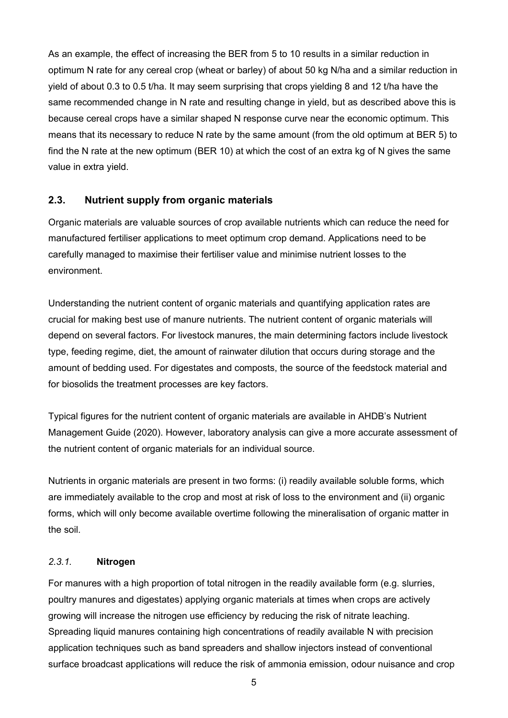As an example, the effect of increasing the BER from 5 to 10 results in a similar reduction in optimum N rate for any cereal crop (wheat or barley) of about 50 kg N/ha and a similar reduction in yield of about 0.3 to 0.5 t/ha. It may seem surprising that crops yielding 8 and 12 t/ha have the same recommended change in N rate and resulting change in yield, but as described above this is because cereal crops have a similar shaped N response curve near the economic optimum. This means that its necessary to reduce N rate by the same amount (from the old optimum at BER 5) to find the N rate at the new optimum (BER 10) at which the cost of an extra kg of N gives the same value in extra yield.

### **2.3. Nutrient supply from organic materials**

Organic materials are valuable sources of crop available nutrients which can reduce the need for manufactured fertiliser applications to meet optimum crop demand. Applications need to be carefully managed to maximise their fertiliser value and minimise nutrient losses to the environment.

Understanding the nutrient content of organic materials and quantifying application rates are crucial for making best use of manure nutrients. The nutrient content of organic materials will depend on several factors. For livestock manures, the main determining factors include livestock type, feeding regime, diet, the amount of rainwater dilution that occurs during storage and the amount of bedding used. For digestates and composts, the source of the feedstock material and for biosolids the treatment processes are key factors.

Typical figures for the nutrient content of organic materials are available in AHDB's Nutrient Management Guide (2020). However, laboratory analysis can give a more accurate assessment of the nutrient content of organic materials for an individual source.

Nutrients in organic materials are present in two forms: (i) readily available soluble forms, which are immediately available to the crop and most at risk of loss to the environment and (ii) organic forms, which will only become available overtime following the mineralisation of organic matter in the soil.

#### *2.3.1.* **Nitrogen**

For manures with a high proportion of total nitrogen in the readily available form (e.g. slurries, poultry manures and digestates) applying organic materials at times when crops are actively growing will increase the nitrogen use efficiency by reducing the risk of nitrate leaching. Spreading liquid manures containing high concentrations of readily available N with precision application techniques such as band spreaders and shallow injectors instead of conventional surface broadcast applications will reduce the risk of ammonia emission, odour nuisance and crop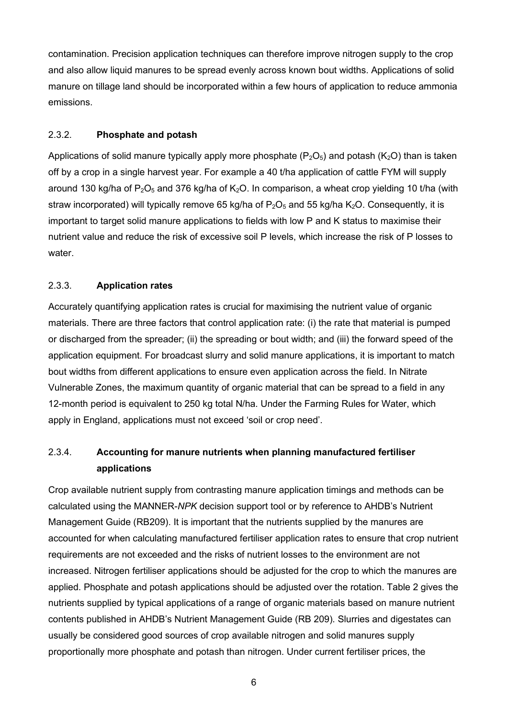contamination. Precision application techniques can therefore improve nitrogen supply to the crop and also allow liquid manures to be spread evenly across known bout widths. Applications of solid manure on tillage land should be incorporated within a few hours of application to reduce ammonia emissions.

#### 2.3.2. **Phosphate and potash**

Applications of solid manure typically apply more phosphate ( $P_2O_5$ ) and potash ( $K_2O$ ) than is taken off by a crop in a single harvest year. For example a 40 t/ha application of cattle FYM will supply around 130 kg/ha of  $P_2O_5$  and 376 kg/ha of K<sub>2</sub>O. In comparison, a wheat crop yielding 10 t/ha (with straw incorporated) will typically remove 65 kg/ha of  $P_2O_5$  and 55 kg/ha  $K_2O$ . Consequently, it is important to target solid manure applications to fields with low P and K status to maximise their nutrient value and reduce the risk of excessive soil P levels, which increase the risk of P losses to water.

### 2.3.3. **Application rates**

Accurately quantifying application rates is crucial for maximising the nutrient value of organic materials. There are three factors that control application rate: (i) the rate that material is pumped or discharged from the spreader; (ii) the spreading or bout width; and (iii) the forward speed of the application equipment. For broadcast slurry and solid manure applications, it is important to match bout widths from different applications to ensure even application across the field. In Nitrate Vulnerable Zones, the maximum quantity of organic material that can be spread to a field in any 12-month period is equivalent to 250 kg total N/ha. Under the Farming Rules for Water, which apply in England, applications must not exceed 'soil or crop need'.

### 2.3.4. **Accounting for manure nutrients when planning manufactured fertiliser applications**

Crop available nutrient supply from contrasting manure application timings and methods can be calculated using the MANNER-*NPK* decision support tool or by reference to AHDB's Nutrient Management Guide (RB209). It is important that the nutrients supplied by the manures are accounted for when calculating manufactured fertiliser application rates to ensure that crop nutrient requirements are not exceeded and the risks of nutrient losses to the environment are not increased. Nitrogen fertiliser applications should be adjusted for the crop to which the manures are applied. Phosphate and potash applications should be adjusted over the rotation. Table 2 gives the nutrients supplied by typical applications of a range of organic materials based on manure nutrient contents published in AHDB's Nutrient Management Guide (RB 209). Slurries and digestates can usually be considered good sources of crop available nitrogen and solid manures supply proportionally more phosphate and potash than nitrogen. Under current fertiliser prices, the

6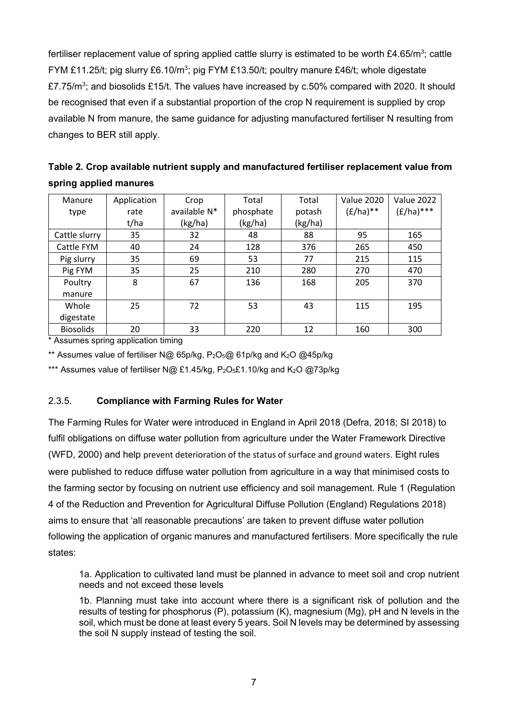fertiliser replacement value of spring applied cattle slurry is estimated to be worth £4.65/m<sup>3</sup>; cattle FYM £11.25/t; pig slurry £6.10/m<sup>3</sup>; pig FYM £13.50/t; poultry manure £46/t; whole digestate £7.75/m<sup>3</sup>; and biosolids £15/t. The values have increased by c.50% compared with 2020. It should be recognised that even if a substantial proportion of the crop N requirement is supplied by crop available N from manure, the same guidance for adjusting manufactured fertiliser N resulting from changes to BER still apply.

| Table 2. Crop available nutrient supply and manufactured fertiliser replacement value from |  |
|--------------------------------------------------------------------------------------------|--|
| spring applied manures                                                                     |  |

| Manure           | Application | Crop         | Total     | Total   | <b>Value 2020</b> | <b>Value 2022</b> |
|------------------|-------------|--------------|-----------|---------|-------------------|-------------------|
| type             | rate        | available N* | phosphate | potash  | $(E/ha)**$        | $(E/ha)$ ***      |
|                  | t/ha        | (kg/ha)      | (kg/ha)   | (kg/ha) |                   |                   |
| Cattle slurry    | 35          | 32           | 48        | 88      | 95                | 165               |
| Cattle FYM       | 40          | 24           | 128       | 376     | 265               | 450               |
| Pig slurry       | 35          | 69           | 53        | 77      | 215               | 115               |
| Pig FYM          | 35          | 25           | 210       | 280     | 270               | 470               |
| Poultry          | 8           | 67           | 136       | 168     | 205               | 370               |
| manure           |             |              |           |         |                   |                   |
| Whole            | 25          | 72           | 53        | 43      | 115               | 195               |
| digestate        |             |              |           |         |                   |                   |
| <b>Biosolids</b> | 20          | 33           | 220       | 12      | 160               | 300               |

\* Assumes spring application timing

\*\* Assumes value of fertiliser N@ 65p/kg,  $P_2O_5@$  61p/kg and K<sub>2</sub>O @45p/kg

\*\*\* Assumes value of fertiliser N@ £1.45/kg,  $P_2O_5f1.10/kq$  and  $K_2O$  @73p/kg

### 2.3.5. **Compliance with Farming Rules for Water**

The Farming Rules for Water were introduced in England in April 2018 (Defra, 2018; SI 2018) to fulfil obligations on diffuse water pollution from agriculture under the Water Framework Directive (WFD, 2000) and help prevent deterioration of the status of surface and ground waters. Eight rules were published to reduce diffuse water pollution from agriculture in a way that minimised costs to the farming sector by focusing on nutrient use efficiency and soil management. Rule 1 (Regulation 4 of the Reduction and Prevention for Agricultural Diffuse Pollution (England) Regulations 2018) aims to ensure that 'all reasonable precautions' are taken to prevent diffuse water pollution following the application of organic manures and manufactured fertilisers. More specifically the rule states:

1a. Application to cultivated land must be planned in advance to meet soil and crop nutrient needs and not exceed these levels

1b. Planning must take into account where there is a significant risk of pollution and the results of testing for phosphorus (P), potassium (K), magnesium (Mg), pH and N levels in the soil, which must be done at least every 5 years. Soil N levels may be determined by assessing the soil N supply instead of testing the soil.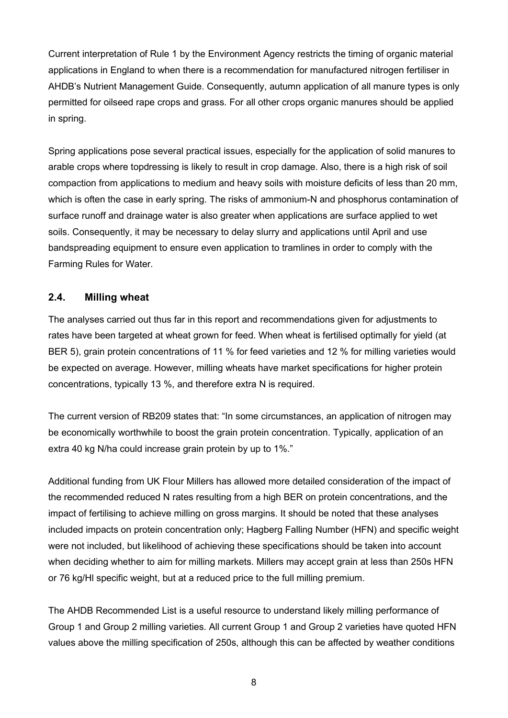Current interpretation of Rule 1 by the Environment Agency restricts the timing of organic material applications in England to when there is a recommendation for manufactured nitrogen fertiliser in AHDB's Nutrient Management Guide. Consequently, autumn application of all manure types is only permitted for oilseed rape crops and grass. For all other crops organic manures should be applied in spring.

Spring applications pose several practical issues, especially for the application of solid manures to arable crops where topdressing is likely to result in crop damage. Also, there is a high risk of soil compaction from applications to medium and heavy soils with moisture deficits of less than 20 mm, which is often the case in early spring. The risks of ammonium-N and phosphorus contamination of surface runoff and drainage water is also greater when applications are surface applied to wet soils. Consequently, it may be necessary to delay slurry and applications until April and use bandspreading equipment to ensure even application to tramlines in order to comply with the Farming Rules for Water.

### **2.4. Milling wheat**

The analyses carried out thus far in this report and recommendations given for adjustments to rates have been targeted at wheat grown for feed. When wheat is fertilised optimally for yield (at BER 5), grain protein concentrations of 11 % for feed varieties and 12 % for milling varieties would be expected on average. However, milling wheats have market specifications for higher protein concentrations, typically 13 %, and therefore extra N is required.

The current version of RB209 states that: "In some circumstances, an application of nitrogen may be economically worthwhile to boost the grain protein concentration. Typically, application of an extra 40 kg N/ha could increase grain protein by up to 1%."

Additional funding from UK Flour Millers has allowed more detailed consideration of the impact of the recommended reduced N rates resulting from a high BER on protein concentrations, and the impact of fertilising to achieve milling on gross margins. It should be noted that these analyses included impacts on protein concentration only; Hagberg Falling Number (HFN) and specific weight were not included, but likelihood of achieving these specifications should be taken into account when deciding whether to aim for milling markets. Millers may accept grain at less than 250s HFN or 76 kg/Hl specific weight, but at a reduced price to the full milling premium.

The AHDB Recommended List is a useful resource to understand likely milling performance of Group 1 and Group 2 milling varieties. All current Group 1 and Group 2 varieties have quoted HFN values above the milling specification of 250s, although this can be affected by weather conditions

8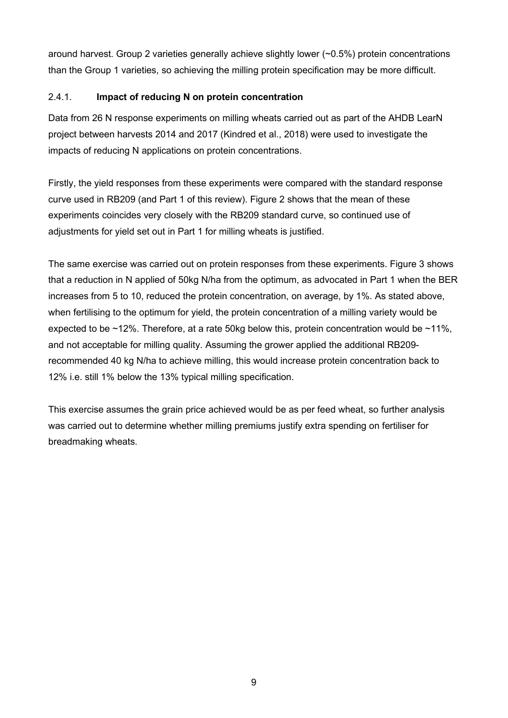around harvest. Group 2 varieties generally achieve slightly lower (~0.5%) protein concentrations than the Group 1 varieties, so achieving the milling protein specification may be more difficult.

### 2.4.1. **Impact of reducing N on protein concentration**

Data from 26 N response experiments on milling wheats carried out as part of the AHDB LearN project between harvests 2014 and 2017 (Kindred et al., 2018) were used to investigate the impacts of reducing N applications on protein concentrations.

Firstly, the yield responses from these experiments were compared with the standard response curve used in RB209 (and Part 1 of this review). Figure 2 shows that the mean of these experiments coincides very closely with the RB209 standard curve, so continued use of adjustments for yield set out in Part 1 for milling wheats is justified.

The same exercise was carried out on protein responses from these experiments. Figure 3 shows that a reduction in N applied of 50kg N/ha from the optimum, as advocated in Part 1 when the BER increases from 5 to 10, reduced the protein concentration, on average, by 1%. As stated above, when fertilising to the optimum for yield, the protein concentration of a milling variety would be expected to be ~12%. Therefore, at a rate 50kg below this, protein concentration would be ~11%, and not acceptable for milling quality. Assuming the grower applied the additional RB209 recommended 40 kg N/ha to achieve milling, this would increase protein concentration back to 12% i.e. still 1% below the 13% typical milling specification.

This exercise assumes the grain price achieved would be as per feed wheat, so further analysis was carried out to determine whether milling premiums justify extra spending on fertiliser for breadmaking wheats.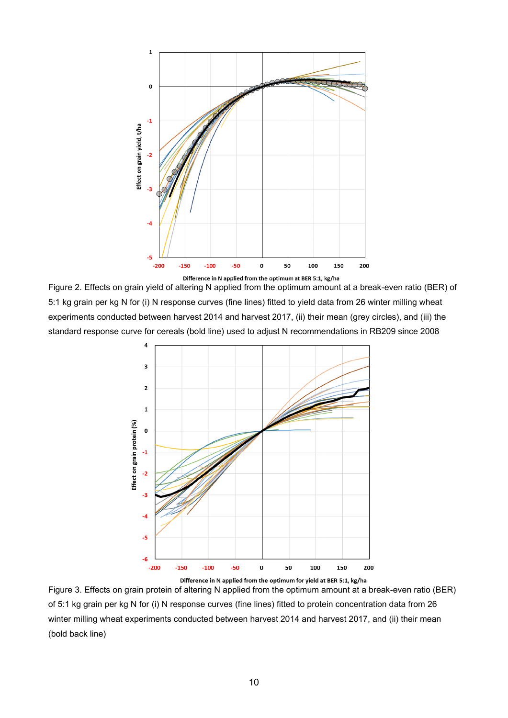

Figure 2. Effects on grain yield of altering N applied from the optimum amount at a break-even ratio (BER) of 5:1 kg grain per kg N for (i) N response curves (fine lines) fitted to yield data from 26 winter milling wheat experiments conducted between harvest 2014 and harvest 2017, (ii) their mean (grey circles), and (iii) the standard response curve for cereals (bold line) used to adjust N recommendations in RB209 since 2008



Figure 3. Effects on grain protein of altering N applied from the optimum amount at a break-even ratio (BER) of 5:1 kg grain per kg N for (i) N response curves (fine lines) fitted to protein concentration data from 26 winter milling wheat experiments conducted between harvest 2014 and harvest 2017, and (ii) their mean (bold back line)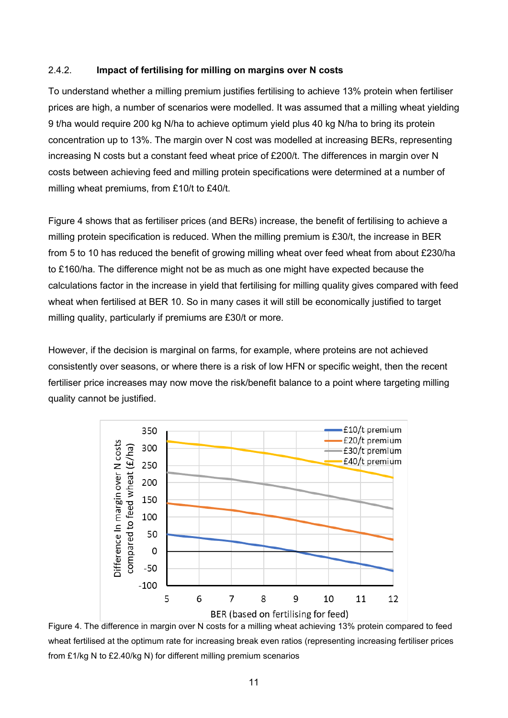#### 2.4.2. **Impact of fertilising for milling on margins over N costs**

To understand whether a milling premium justifies fertilising to achieve 13% protein when fertiliser prices are high, a number of scenarios were modelled. It was assumed that a milling wheat yielding 9 t/ha would require 200 kg N/ha to achieve optimum yield plus 40 kg N/ha to bring its protein concentration up to 13%. The margin over N cost was modelled at increasing BERs, representing increasing N costs but a constant feed wheat price of £200/t. The differences in margin over N costs between achieving feed and milling protein specifications were determined at a number of milling wheat premiums, from £10/t to £40/t.

Figure 4 shows that as fertiliser prices (and BERs) increase, the benefit of fertilising to achieve a milling protein specification is reduced. When the milling premium is £30/t, the increase in BER from 5 to 10 has reduced the benefit of growing milling wheat over feed wheat from about £230/ha to £160/ha. The difference might not be as much as one might have expected because the calculations factor in the increase in yield that fertilising for milling quality gives compared with feed wheat when fertilised at BER 10. So in many cases it will still be economically justified to target milling quality, particularly if premiums are £30/t or more.

However, if the decision is marginal on farms, for example, where proteins are not achieved consistently over seasons, or where there is a risk of low HFN or specific weight, then the recent fertiliser price increases may now move the risk/benefit balance to a point where targeting milling quality cannot be justified.



Figure 4. The difference in margin over N costs for a milling wheat achieving 13% protein compared to feed wheat fertilised at the optimum rate for increasing break even ratios (representing increasing fertiliser prices from £1/kg N to £2.40/kg N) for different milling premium scenarios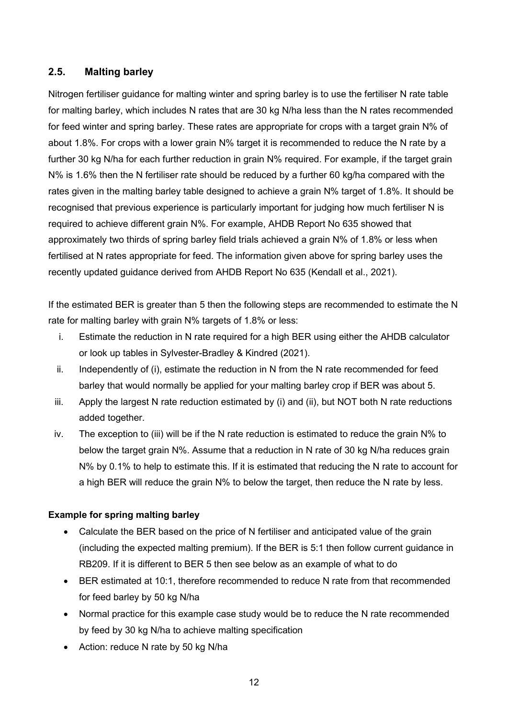### **2.5. Malting barley**

Nitrogen fertiliser guidance for malting winter and spring barley is to use the fertiliser N rate table for malting barley, which includes N rates that are 30 kg N/ha less than the N rates recommended for feed winter and spring barley. These rates are appropriate for crops with a target grain N% of about 1.8%. For crops with a lower grain N% target it is recommended to reduce the N rate by a further 30 kg N/ha for each further reduction in grain N% required. For example, if the target grain N% is 1.6% then the N fertiliser rate should be reduced by a further 60 kg/ha compared with the rates given in the malting barley table designed to achieve a grain N% target of 1.8%. It should be recognised that previous experience is particularly important for judging how much fertiliser N is required to achieve different grain N%. For example, AHDB Report No 635 showed that approximately two thirds of spring barley field trials achieved a grain N% of 1.8% or less when fertilised at N rates appropriate for feed. The information given above for spring barley uses the recently updated guidance derived from AHDB Report No 635 (Kendall et al., 2021).

If the estimated BER is greater than 5 then the following steps are recommended to estimate the N rate for malting barley with grain N% targets of 1.8% or less:

- i. Estimate the reduction in N rate required for a high BER using either the AHDB calculator or look up tables in Sylvester-Bradley & Kindred (2021).
- ii. Independently of (i), estimate the reduction in N from the N rate recommended for feed barley that would normally be applied for your malting barley crop if BER was about 5.
- iii. Apply the largest N rate reduction estimated by (i) and (ii), but NOT both N rate reductions added together.
- iv. The exception to (iii) will be if the N rate reduction is estimated to reduce the grain N% to below the target grain N%. Assume that a reduction in N rate of 30 kg N/ha reduces grain N% by 0.1% to help to estimate this. If it is estimated that reducing the N rate to account for a high BER will reduce the grain N% to below the target, then reduce the N rate by less.

### **Example for spring malting barley**

- Calculate the BER based on the price of N fertiliser and anticipated value of the grain (including the expected malting premium). If the BER is 5:1 then follow current guidance in RB209. If it is different to BER 5 then see below as an example of what to do
- BER estimated at 10:1, therefore recommended to reduce N rate from that recommended for feed barley by 50 kg N/ha
- Normal practice for this example case study would be to reduce the N rate recommended by feed by 30 kg N/ha to achieve malting specification
- Action: reduce N rate by 50 kg N/ha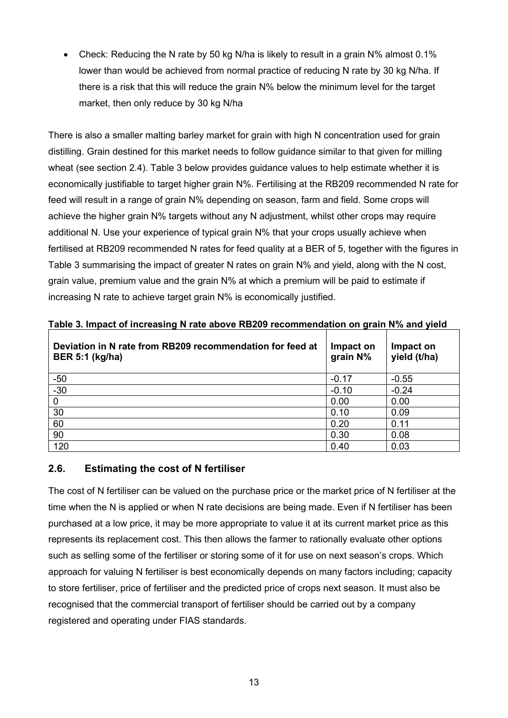• Check: Reducing the N rate by 50 kg N/ha is likely to result in a grain N% almost 0.1% lower than would be achieved from normal practice of reducing N rate by 30 kg N/ha. If there is a risk that this will reduce the grain N% below the minimum level for the target market, then only reduce by 30 kg N/ha

There is also a smaller malting barley market for grain with high N concentration used for grain distilling. Grain destined for this market needs to follow guidance similar to that given for milling wheat (see section 2.4). Table 3 below provides guidance values to help estimate whether it is economically justifiable to target higher grain N%. Fertilising at the RB209 recommended N rate for feed will result in a range of grain N% depending on season, farm and field. Some crops will achieve the higher grain N% targets without any N adjustment, whilst other crops may require additional N. Use your experience of typical grain N% that your crops usually achieve when fertilised at RB209 recommended N rates for feed quality at a BER of 5, together with the figures in Table 3 summarising the impact of greater N rates on grain N% and yield, along with the N cost, grain value, premium value and the grain N% at which a premium will be paid to estimate if increasing N rate to achieve target grain N% is economically justified.

| Deviation in N rate from RB209 recommendation for feed at<br><b>BER 5:1 (kg/ha)</b> | Impact on<br>grain N% | Impact on<br>yield (t/ha) |
|-------------------------------------------------------------------------------------|-----------------------|---------------------------|
| $-50$                                                                               | $-0.17$               | $-0.55$                   |
| $-30$                                                                               | $-0.10$               | $-0.24$                   |
| 0                                                                                   | 0.00                  | 0.00                      |
| 30                                                                                  | 0.10                  | 0.09                      |
| 60                                                                                  | 0.20                  | 0.11                      |
| 90                                                                                  | 0.30                  | 0.08                      |
| 120                                                                                 | 0.40                  | 0.03                      |

**Table 3. Impact of increasing N rate above RB209 recommendation on grain N% and yield**

### **2.6. Estimating the cost of N fertiliser**

The cost of N fertiliser can be valued on the purchase price or the market price of N fertiliser at the time when the N is applied or when N rate decisions are being made. Even if N fertiliser has been purchased at a low price, it may be more appropriate to value it at its current market price as this represents its replacement cost. This then allows the farmer to rationally evaluate other options such as selling some of the fertiliser or storing some of it for use on next season's crops. Which approach for valuing N fertiliser is best economically depends on many factors including; capacity to store fertiliser, price of fertiliser and the predicted price of crops next season. It must also be recognised that the commercial transport of fertiliser should be carried out by a company registered and operating under FIAS standards.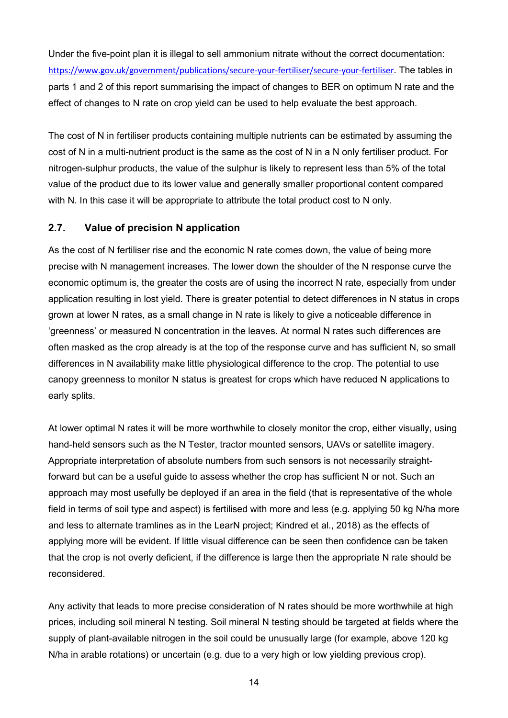Under the five-point plan it is illegal to sell ammonium nitrate without the correct documentation: <https://www.gov.uk/government/publications/secure-your-fertiliser/secure-your-fertiliser>. The tables in parts 1 and 2 of this report summarising the impact of changes to BER on optimum N rate and the effect of changes to N rate on crop yield can be used to help evaluate the best approach.

The cost of N in fertiliser products containing multiple nutrients can be estimated by assuming the cost of N in a multi-nutrient product is the same as the cost of N in a N only fertiliser product. For nitrogen-sulphur products, the value of the sulphur is likely to represent less than 5% of the total value of the product due to its lower value and generally smaller proportional content compared with N. In this case it will be appropriate to attribute the total product cost to N only.

### **2.7. Value of precision N application**

As the cost of N fertiliser rise and the economic N rate comes down, the value of being more precise with N management increases. The lower down the shoulder of the N response curve the economic optimum is, the greater the costs are of using the incorrect N rate, especially from under application resulting in lost yield. There is greater potential to detect differences in N status in crops grown at lower N rates, as a small change in N rate is likely to give a noticeable difference in 'greenness' or measured N concentration in the leaves. At normal N rates such differences are often masked as the crop already is at the top of the response curve and has sufficient N, so small differences in N availability make little physiological difference to the crop. The potential to use canopy greenness to monitor N status is greatest for crops which have reduced N applications to early splits.

At lower optimal N rates it will be more worthwhile to closely monitor the crop, either visually, using hand-held sensors such as the N Tester, tractor mounted sensors, UAVs or satellite imagery. Appropriate interpretation of absolute numbers from such sensors is not necessarily straightforward but can be a useful guide to assess whether the crop has sufficient N or not. Such an approach may most usefully be deployed if an area in the field (that is representative of the whole field in terms of soil type and aspect) is fertilised with more and less (e.g. applying 50 kg N/ha more and less to alternate tramlines as in the LearN project; Kindred et al., 2018) as the effects of applying more will be evident. If little visual difference can be seen then confidence can be taken that the crop is not overly deficient, if the difference is large then the appropriate N rate should be reconsidered.

Any activity that leads to more precise consideration of N rates should be more worthwhile at high prices, including soil mineral N testing. Soil mineral N testing should be targeted at fields where the supply of plant-available nitrogen in the soil could be unusually large (for example, above 120 kg N/ha in arable rotations) or uncertain (e.g. due to a very high or low yielding previous crop).

14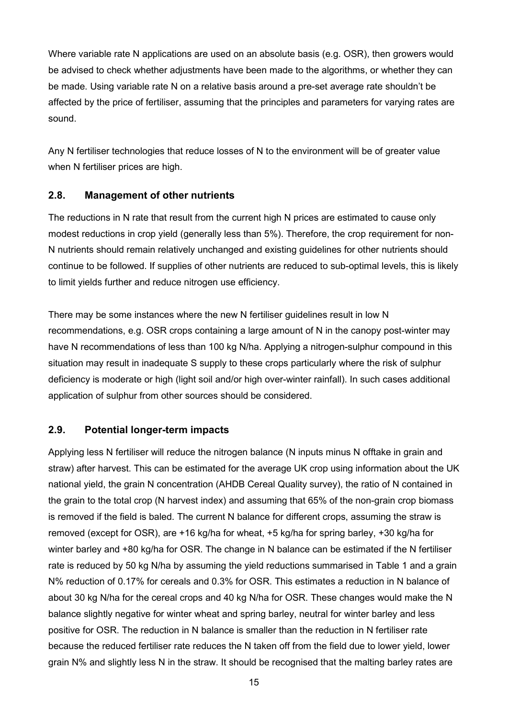Where variable rate N applications are used on an absolute basis (e.g. OSR), then growers would be advised to check whether adjustments have been made to the algorithms, or whether they can be made. Using variable rate N on a relative basis around a pre-set average rate shouldn't be affected by the price of fertiliser, assuming that the principles and parameters for varying rates are sound.

Any N fertiliser technologies that reduce losses of N to the environment will be of greater value when N fertiliser prices are high.

### **2.8. Management of other nutrients**

The reductions in N rate that result from the current high N prices are estimated to cause only modest reductions in crop yield (generally less than 5%). Therefore, the crop requirement for non-N nutrients should remain relatively unchanged and existing guidelines for other nutrients should continue to be followed. If supplies of other nutrients are reduced to sub-optimal levels, this is likely to limit yields further and reduce nitrogen use efficiency.

There may be some instances where the new N fertiliser guidelines result in low N recommendations, e.g. OSR crops containing a large amount of N in the canopy post-winter may have N recommendations of less than 100 kg N/ha. Applying a nitrogen-sulphur compound in this situation may result in inadequate S supply to these crops particularly where the risk of sulphur deficiency is moderate or high (light soil and/or high over-winter rainfall). In such cases additional application of sulphur from other sources should be considered.

### **2.9. Potential longer-term impacts**

Applying less N fertiliser will reduce the nitrogen balance (N inputs minus N offtake in grain and straw) after harvest. This can be estimated for the average UK crop using information about the UK national yield, the grain N concentration (AHDB Cereal Quality survey), the ratio of N contained in the grain to the total crop (N harvest index) and assuming that 65% of the non-grain crop biomass is removed if the field is baled. The current N balance for different crops, assuming the straw is removed (except for OSR), are +16 kg/ha for wheat, +5 kg/ha for spring barley, +30 kg/ha for winter barley and +80 kg/ha for OSR. The change in N balance can be estimated if the N fertiliser rate is reduced by 50 kg N/ha by assuming the yield reductions summarised in Table 1 and a grain N% reduction of 0.17% for cereals and 0.3% for OSR. This estimates a reduction in N balance of about 30 kg N/ha for the cereal crops and 40 kg N/ha for OSR. These changes would make the N balance slightly negative for winter wheat and spring barley, neutral for winter barley and less positive for OSR. The reduction in N balance is smaller than the reduction in N fertiliser rate because the reduced fertiliser rate reduces the N taken off from the field due to lower yield, lower grain N% and slightly less N in the straw. It should be recognised that the malting barley rates are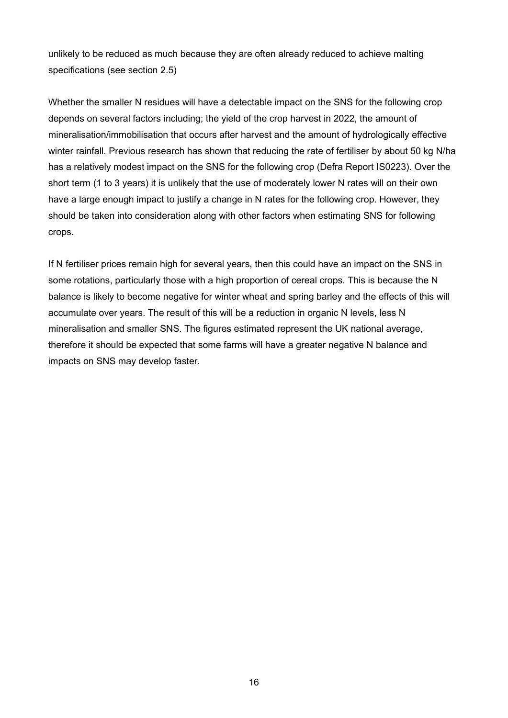unlikely to be reduced as much because they are often already reduced to achieve malting specifications (see section 2.5)

Whether the smaller N residues will have a detectable impact on the SNS for the following crop depends on several factors including; the yield of the crop harvest in 2022, the amount of mineralisation/immobilisation that occurs after harvest and the amount of hydrologically effective winter rainfall. Previous research has shown that reducing the rate of fertiliser by about 50 kg N/ha has a relatively modest impact on the SNS for the following crop (Defra Report IS0223). Over the short term (1 to 3 years) it is unlikely that the use of moderately lower N rates will on their own have a large enough impact to justify a change in N rates for the following crop. However, they should be taken into consideration along with other factors when estimating SNS for following crops.

If N fertiliser prices remain high for several years, then this could have an impact on the SNS in some rotations, particularly those with a high proportion of cereal crops. This is because the N balance is likely to become negative for winter wheat and spring barley and the effects of this will accumulate over years. The result of this will be a reduction in organic N levels, less N mineralisation and smaller SNS. The figures estimated represent the UK national average, therefore it should be expected that some farms will have a greater negative N balance and impacts on SNS may develop faster.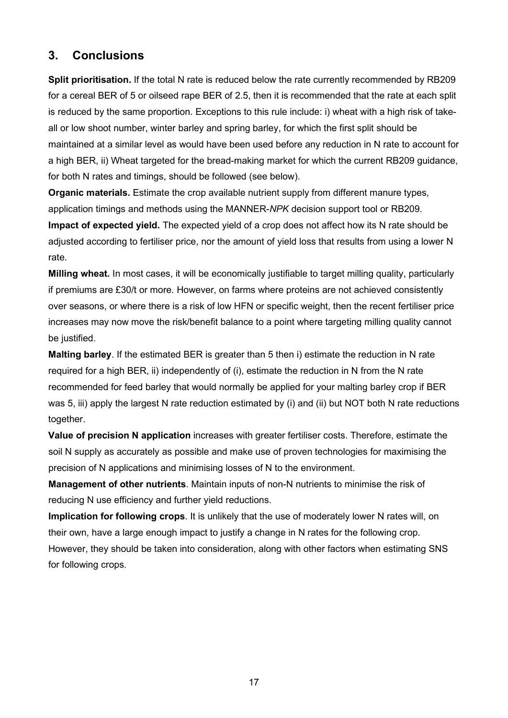### **3. Conclusions**

**Split prioritisation.** If the total N rate is reduced below the rate currently recommended by RB209 for a cereal BER of 5 or oilseed rape BER of 2.5, then it is recommended that the rate at each split is reduced by the same proportion. Exceptions to this rule include: i) wheat with a high risk of takeall or low shoot number, winter barley and spring barley, for which the first split should be maintained at a similar level as would have been used before any reduction in N rate to account for a high BER, ii) Wheat targeted for the bread-making market for which the current RB209 guidance, for both N rates and timings, should be followed (see below).

**Organic materials.** Estimate the crop available nutrient supply from different manure types, application timings and methods using the MANNER-*NPK* decision support tool or RB209. **Impact of expected yield.** The expected yield of a crop does not affect how its N rate should be adjusted according to fertiliser price, nor the amount of yield loss that results from using a lower N rate.

**Milling wheat.** In most cases, it will be economically justifiable to target milling quality, particularly if premiums are £30/t or more. However, on farms where proteins are not achieved consistently over seasons, or where there is a risk of low HFN or specific weight, then the recent fertiliser price increases may now move the risk/benefit balance to a point where targeting milling quality cannot be justified.

**Malting barley**. If the estimated BER is greater than 5 then i) estimate the reduction in N rate required for a high BER, ii) independently of (i), estimate the reduction in N from the N rate recommended for feed barley that would normally be applied for your malting barley crop if BER was 5, iii) apply the largest N rate reduction estimated by (i) and (ii) but NOT both N rate reductions together.

**Value of precision N application** increases with greater fertiliser costs. Therefore, estimate the soil N supply as accurately as possible and make use of proven technologies for maximising the precision of N applications and minimising losses of N to the environment.

**Management of other nutrients**. Maintain inputs of non-N nutrients to minimise the risk of reducing N use efficiency and further yield reductions.

**Implication for following crops**. It is unlikely that the use of moderately lower N rates will, on their own, have a large enough impact to justify a change in N rates for the following crop. However, they should be taken into consideration, along with other factors when estimating SNS for following crops.

17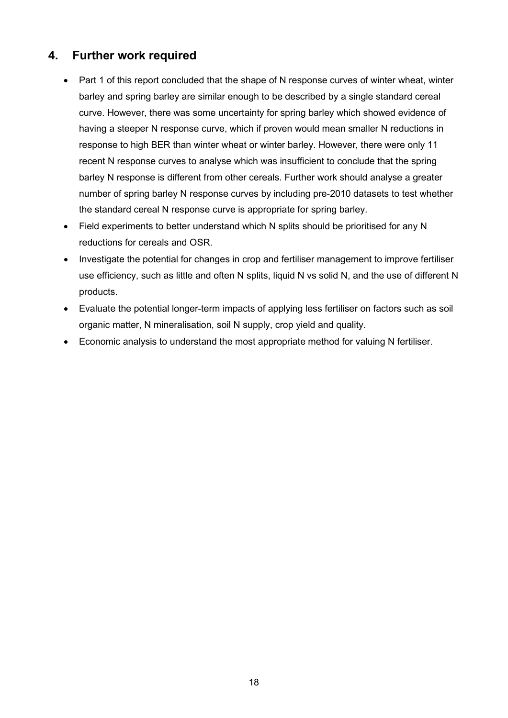# **4. Further work required**

- Part 1 of this report concluded that the shape of N response curves of winter wheat, winter barley and spring barley are similar enough to be described by a single standard cereal curve. However, there was some uncertainty for spring barley which showed evidence of having a steeper N response curve, which if proven would mean smaller N reductions in response to high BER than winter wheat or winter barley. However, there were only 11 recent N response curves to analyse which was insufficient to conclude that the spring barley N response is different from other cereals. Further work should analyse a greater number of spring barley N response curves by including pre-2010 datasets to test whether the standard cereal N response curve is appropriate for spring barley.
- Field experiments to better understand which N splits should be prioritised for any N reductions for cereals and OSR.
- Investigate the potential for changes in crop and fertiliser management to improve fertiliser use efficiency, such as little and often N splits, liquid N vs solid N, and the use of different N products.
- Evaluate the potential longer-term impacts of applying less fertiliser on factors such as soil organic matter, N mineralisation, soil N supply, crop yield and quality.
- Economic analysis to understand the most appropriate method for valuing N fertiliser.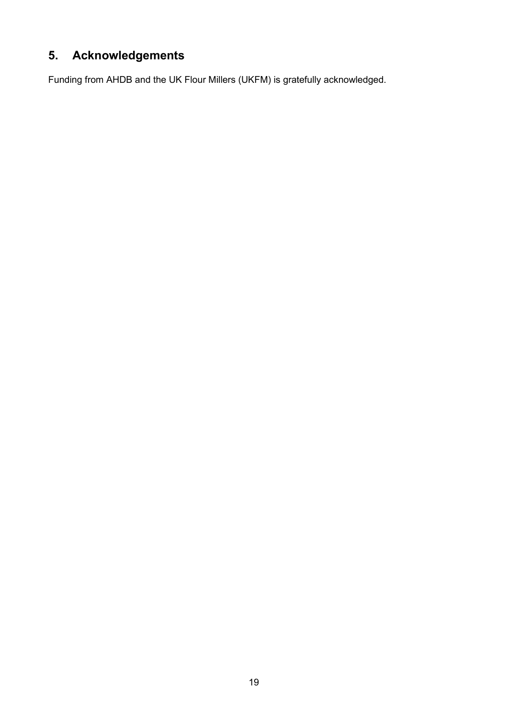# **5. Acknowledgements**

Funding from AHDB and the UK Flour Millers (UKFM) is gratefully acknowledged.